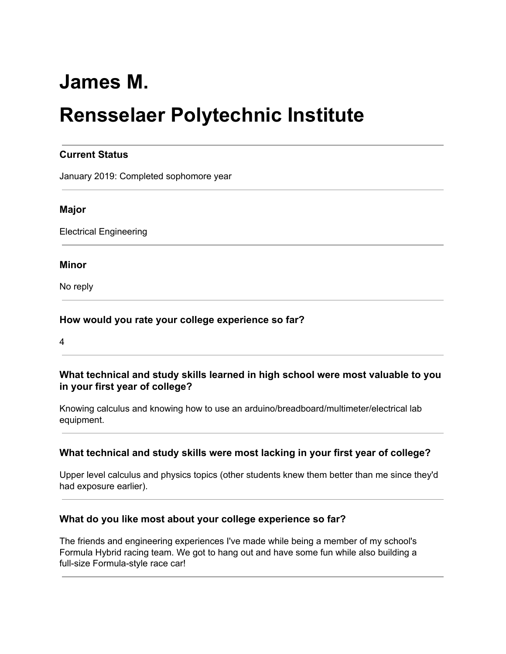# **James M.**

# **Rensselaer Polytechnic Institute**

### **Current Status**

January 2019: Completed sophomore year

#### **Major**

Electrical Engineering

#### **Minor**

No reply

#### **How would you rate your college experience so far?**

4

#### **What technical and study skills learned in high school were most valuable to you in your first year of college?**

Knowing calculus and knowing how to use an arduino/breadboard/multimeter/electrical lab equipment.

#### **What technical and study skills were most lacking in your first year of college?**

Upper level calculus and physics topics (other students knew them better than me since they'd had exposure earlier).

#### **What do you like most about your college experience so far?**

The friends and engineering experiences I've made while being a member of my school's Formula Hybrid racing team. We got to hang out and have some fun while also building a full-size Formula-style race car!